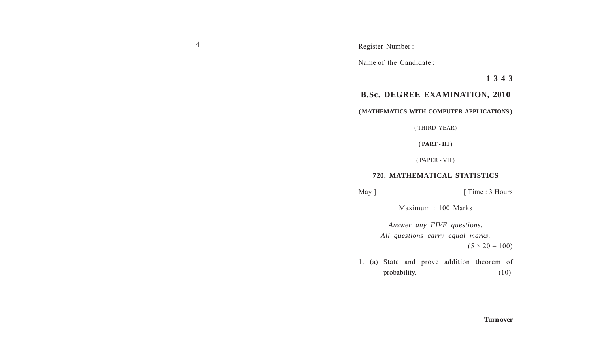4 Register Number :

Name of the Candidate :

**1 3 4 3**

## **B.Sc. DEGREE EXAMINATION, 2010**

## **( MATHEMATICS WITH COMPUTER APPLICATIONS )**

( THIRD YEAR)

**( PART - III )**

( PAPER - VII )

## **720. MATHEMATICAL STATISTICS**

May ] [ Time : 3 Hours

Maximum : 100 Marks

*Answer any FIVE questions. All questions carry equal marks.*  $(5 \times 20 = 100)$ 

1. (a) State and prove addition theorem of probability. (10)

## **Turn over**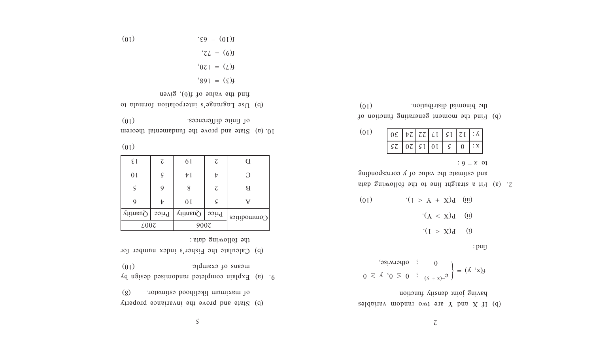$\varsigma$ 

- (b) State and prove the invariance property of maximum likelihood estimator. (8)
- $9.6$  Explain completed randomised by a figure means of example. (10)
- (b) Calculate the Fisher's index number for the following data :

| $\epsilon$ I                                 | $\mathcal{L}_{\mathcal{L}}$ | 6 I            | Z                           | <sup>(</sup> |  |
|----------------------------------------------|-----------------------------|----------------|-----------------------------|--------------|--|
| 0 <sub>I</sub>                               | $\varsigma$                 | μI             | t                           | O<br>В       |  |
| $\varsigma$                                  |                             | 8              | $\mathcal{L}_{\mathcal{L}}$ |              |  |
|                                              |                             | 0 <sub>I</sub> | ς                           | v            |  |
| Quantity<br><b>Price</b>                     |                             | $Q$ uantity    | Price                       | Commodities  |  |
| $\text{\textsterling}00\text{\textsterling}$ |                             | 900Z           |                             |              |  |

 $(01)$ 

 $(01)$ 

- 10. (a) State and prove the fundamental theorem (10) differences. The second of finite second  $\alpha$
- (b) Use Lagrange's interpolation formula to find the value of f(6), given

$$
E(10) = 95
$$

$$
E(2) = 150
$$

$$
E(3) = 150
$$

$$
E(4) = 150
$$

 $b = \text{adjoint}$  and  $b = \text{adjoint}$  and  $X + \text{adjoint}$  (d) having joint density function

$$
f(x, y) = \begin{cases} 0 & \text{if } x \neq 0, \ y \geq 0, \ y \geq 0 \end{cases}
$$

find :

 $: 9 = x \space 01$ 

- $\tag{i} \begin{aligned} \text{i}(\text{I} > \text{X})\text{I} \end{aligned}$
- $\cdot$  ( $Y < X$ ) $\cdot$  (ii)
- (01)  $(1 > Y + X)q$  (iii)
- 2. (a) Fit a straight ine to the following data and estimate the value of y corresponding

| (01) | $\lceil \log   \log   \log   \ln   \ln   \ln  $ |  |  |  |
|------|-------------------------------------------------|--|--|--|
|      |                                                 |  |  |  |

(b) Find the moment generating function of (01) the binomial distribution.